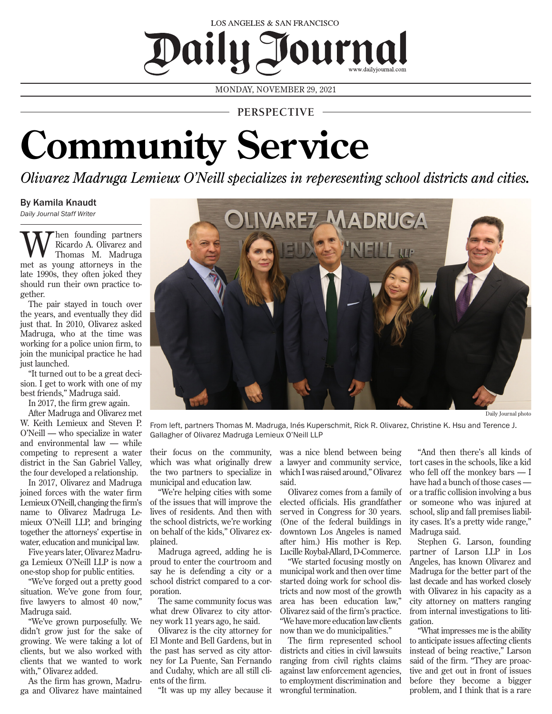## LOS ANGELES & SAN FRANCISCO Daily J Journal

MONDAY, NOVEMBER 29, 2021

**PERSPECTIVE**

## **Community Service**

*Olivarez Madruga Lemieux O'Neill specializes in reperesenting school districts and cities.*

## By Kamila Knaudt

*Daily Journal Staff Writer*

hen founding partners Ricardo A. Olivarez and Thomas M. Madruga met as young attorneys in the late 1990s, they often joked they should run their own practice together.

The pair stayed in touch over the years, and eventually they did just that. In 2010, Olivarez asked Madruga, who at the time was working for a police union firm, to join the municipal practice he had just launched.

"It turned out to be a great decision. I get to work with one of my best friends," Madruga said.

In 2017, the firm grew again.

After Madruga and Olivarez met W. Keith Lemieux and Steven P. O'Neill — who specialize in water and environmental law — while competing to represent a water district in the San Gabriel Valley, the four developed a relationship.

In 2017, Olivarez and Madruga joined forces with the water firm Lemieux O'Neill, changing the firm's name to Olivarez Madruga Lemieux O'Neill LLP, and bringing together the attorneys' expertise in water, education and municipal law.

Five years later, Olivarez Madruga Lemieux O'Neill LLP is now a one-stop shop for public entities.

"We've forged out a pretty good situation. We've gone from four, five lawyers to almost 40 now," Madruga said.

"We've grown purposefully. We didn't grow just for the sake of growing. We were taking a lot of clients, but we also worked with clients that we wanted to work with," Olivarez added.

As the firm has grown, Madruga and Olivarez have maintained



Daily Journal photo

From left, partners Thomas M. Madruga, Inés Kuperschmit, Rick R. Olivarez, Christine K. Hsu and Terence J. Gallagher of Olivarez Madruga Lemieux O'Neill LLP

their focus on the community, which was what originally drew the two partners to specialize in municipal and education law.

"We're helping cities with some of the issues that will improve the lives of residents. And then with the school districts, we're working on behalf of the kids," Olivarez explained.

Madruga agreed, adding he is proud to enter the courtroom and say he is defending a city or a school district compared to a corporation.

The same community focus was what drew Olivarez to city attorney work 11 years ago, he said.

Olivarez is the city attorney for El Monte and Bell Gardens, but in the past has served as city attorney for La Puente, San Fernando and Cudahy, which are all still clients of the firm.

"It was up my alley because it wrongful termination.

was a nice blend between being a lawyer and community service, which I was raised around," Olivarez said.

Olivarez comes from a family of elected officials. His grandfather served in Congress for 30 years. (One of the federal buildings in downtown Los Angeles is named after him.) His mother is Rep. Lucille Roybal-Allard, D-Commerce.

"We started focusing mostly on municipal work and then over time started doing work for school districts and now most of the growth area has been education law," Olivarez said of the firm's practice. "We have more education law clients now than we do municipalities."

The firm represented school districts and cities in civil lawsuits ranging from civil rights claims against law enforcement agencies, to employment discrimination and

"And then there's all kinds of tort cases in the schools, like a kid who fell off the monkey bars — I have had a bunch of those cases or a traffic collision involving a bus or someone who was injured at school, slip and fall premises liability cases. It's a pretty wide range," Madruga said.

Stephen G. Larson, founding partner of Larson LLP in Los Angeles, has known Olivarez and Madruga for the better part of the last decade and has worked closely with Olivarez in his capacity as a city attorney on matters ranging from internal investigations to litigation.

"What impresses me is the ability to anticipate issues affecting clients instead of being reactive," Larson said of the firm. "They are proactive and get out in front of issues before they become a bigger problem, and I think that is a rare